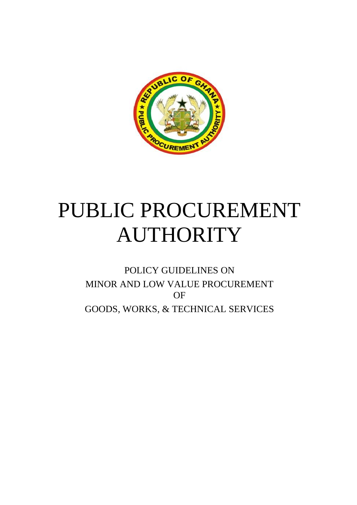

# PUBLIC PROCUREMENT AUTHORITY

POLICY GUIDELINES ON MINOR AND LOW VALUE PROCUREMENT OF GOODS, WORKS, & TECHNICAL SERVICES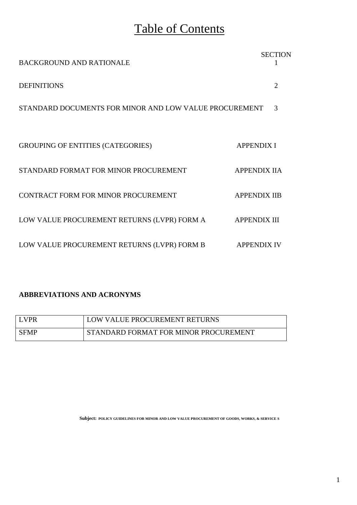# Table of Contents

| <b>BACKGROUND AND RATIONALE</b>                        | <b>SECTION</b>      |
|--------------------------------------------------------|---------------------|
| <b>DEFINITIONS</b>                                     | 2                   |
| STANDARD DOCUMENTS FOR MINOR AND LOW VALUE PROCUREMENT | 3                   |
|                                                        |                     |
| <b>GROUPING OF ENTITIES (CATEGORIES)</b>               | <b>APPENDIX I</b>   |
| STANDARD FORMAT FOR MINOR PROCUREMENT                  | <b>APPENDIX IIA</b> |
| CONTRACT FORM FOR MINOR PROCUREMENT                    | <b>APPENDIX IIB</b> |
| LOW VALUE PROCUREMENT RETURNS (LVPR) FORM A            | <b>APPENDIX III</b> |
| LOW VALUE PROCUREMENT RETURNS (LVPR) FORM B            | <b>APPENDIX IV</b>  |

### **ABBREVIATIONS AND ACRONYMS**

| LVPR        | LOW VALUE PROCUREMENT RETURNS         |
|-------------|---------------------------------------|
| <b>SFMP</b> | STANDARD FORMAT FOR MINOR PROCUREMENT |

**Subject: POLICY GUIDELINES FOR MINOR AND LOW VALUE PROCUREMENT OF GOODS, WORKS, & SERVICE S**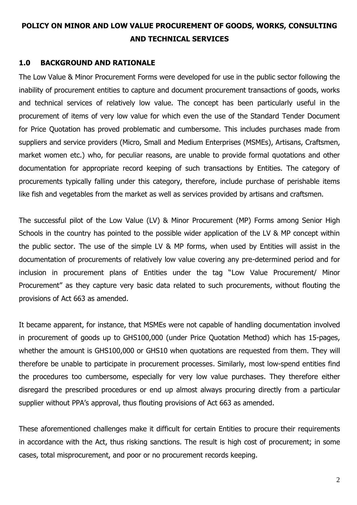### **POLICY ON MINOR AND LOW VALUE PROCUREMENT OF GOODS, WORKS, CONSULTING AND TECHNICAL SERVICES**

### **1.0 BACKGROUND AND RATIONALE**

The Low Value & Minor Procurement Forms were developed for use in the public sector following the inability of procurement entities to capture and document procurement transactions of goods, works and technical services of relatively low value. The concept has been particularly useful in the procurement of items of very low value for which even the use of the Standard Tender Document for Price Quotation has proved problematic and cumbersome. This includes purchases made from suppliers and service providers (Micro, Small and Medium Enterprises (MSMEs), Artisans, Craftsmen, market women etc.) who, for peculiar reasons, are unable to provide formal quotations and other documentation for appropriate record keeping of such transactions by Entities. The category of procurements typically falling under this category, therefore, include purchase of perishable items like fish and vegetables from the market as well as services provided by artisans and craftsmen.

The successful pilot of the Low Value (LV) & Minor Procurement (MP) Forms among Senior High Schools in the country has pointed to the possible wider application of the LV & MP concept within the public sector. The use of the simple LV & MP forms, when used by Entities will assist in the documentation of procurements of relatively low value covering any pre-determined period and for inclusion in procurement plans of Entities under the tag "Low Value Procurement/ Minor Procurement" as they capture very basic data related to such procurements, without flouting the provisions of Act 663 as amended.

It became apparent, for instance, that MSMEs were not capable of handling documentation involved in procurement of goods up to GHS100,000 (under Price Quotation Method) which has 15-pages, whether the amount is GHS100,000 or GHS10 when quotations are requested from them. They will therefore be unable to participate in procurement processes. Similarly, most low-spend entities find the procedures too cumbersome, especially for very low value purchases. They therefore either disregard the prescribed procedures or end up almost always procuring directly from a particular supplier without PPA's approval, thus flouting provisions of Act 663 as amended.

These aforementioned challenges make it difficult for certain Entities to procure their requirements in accordance with the Act, thus risking sanctions. The result is high cost of procurement; in some cases, total misprocurement, and poor or no procurement records keeping.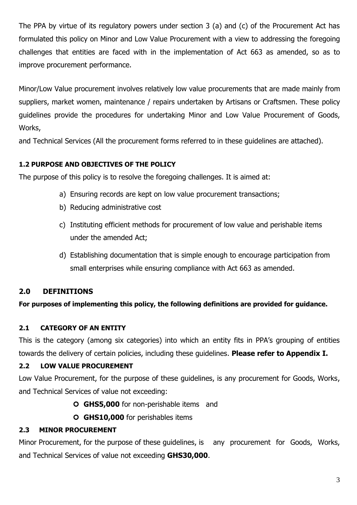The PPA by virtue of its regulatory powers under section 3 (a) and (c) of the Procurement Act has formulated this policy on Minor and Low Value Procurement with a view to addressing the foregoing challenges that entities are faced with in the implementation of Act 663 as amended, so as to improve procurement performance.

Minor/Low Value procurement involves relatively low value procurements that are made mainly from suppliers, market women, maintenance / repairs undertaken by Artisans or Craftsmen. These policy guidelines provide the procedures for undertaking Minor and Low Value Procurement of Goods, Works,

and Technical Services (All the procurement forms referred to in these guidelines are attached).

### **1.2 PURPOSE AND OBJECTIVES OF THE POLICY**

The purpose of this policy is to resolve the foregoing challenges. It is aimed at:

- a) Ensuring records are kept on low value procurement transactions;
- b) Reducing administrative cost
- c) Instituting efficient methods for procurement of low value and perishable items under the amended Act;
- d) Establishing documentation that is simple enough to encourage participation from small enterprises while ensuring compliance with Act 663 as amended.

### **2.0 DEFINITIONS**

**For purposes of implementing this policy, the following definitions are provided for guidance.**

### **2.1 CATEGORY OF AN ENTITY**

This is the category (among six categories) into which an entity fits in PPA's grouping of entities towards the delivery of certain policies, including these guidelines. **Please refer to Appendix I.**

### **2.2 LOW VALUE PROCUREMENT**

Low Value Procurement, for the purpose of these guidelines, is any procurement for Goods, Works, and Technical Services of value not exceeding:

- **GHS5,000** for non-perishable items and
- **GHS10,000** for perishables items

### **2.3 MINOR PROCUREMENT**

Minor Procurement, for the purpose of these guidelines, is any procurement for Goods, Works, and Technical Services of value not exceeding **GHS30,000**.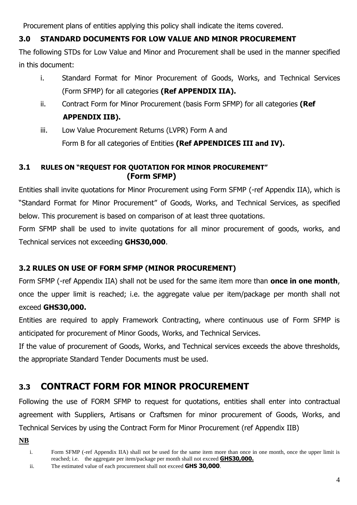Procurement plans of entities applying this policy shall indicate the items covered.

### **3.0 STANDARD DOCUMENTS FOR LOW VALUE AND MINOR PROCUREMENT**

The following STDs for Low Value and Minor and Procurement shall be used in the manner specified in this document:

- i. Standard Format for Minor Procurement of Goods, Works, and Technical Services (Form SFMP) for all categories **(Ref APPENDIX IIA).**
- ii. Contract Form for Minor Procurement (basis Form SFMP) for all categories **(Ref APPENDIX IIB).**
- iii. Low Value Procurement Returns (LVPR) Form A and Form B for all categories of Entities **(Ref APPENDICES III and IV).**

### **3.1 RULES ON "REQUEST FOR QUOTATION FOR MINOR PROCUREMENT" (Form SFMP)**

Entities shall invite quotations for Minor Procurement using Form SFMP (-ref Appendix IIA), which is "Standard Format for Minor Procurement" of Goods, Works, and Technical Services, as specified below. This procurement is based on comparison of at least three quotations.

Form SFMP shall be used to invite quotations for all minor procurement of goods, works, and Technical services not exceeding **GHS30,000**.

### **3.2 RULES ON USE OF FORM SFMP (MINOR PROCUREMENT)**

Form SFMP (-ref Appendix IIA) shall not be used for the same item more than **once in one month**, once the upper limit is reached; i.e. the aggregate value per item/package per month shall not exceed **GHS30,000.** 

Entities are required to apply Framework Contracting, where continuous use of Form SFMP is anticipated for procurement of Minor Goods, Works, and Technical Services.

If the value of procurement of Goods, Works, and Technical services exceeds the above thresholds, the appropriate Standard Tender Documents must be used.

### **3.3 CONTRACT FORM FOR MINOR PROCUREMENT**

Following the use of FORM SFMP to request for quotations, entities shall enter into contractual agreement with Suppliers, Artisans or Craftsmen for minor procurement of Goods, Works, and Technical Services by using the Contract Form for Minor Procurement (ref Appendix IIB)

**NB**

i. Form SFMP (-ref Appendix IIA) shall not be used for the same item more than once in one month, once the upper limit is reached; i.e. the aggregate per item/package per month shall not exceed **GHS30,000.**

ii. The estimated value of each procurement shall not exceed **GHS 30,000**.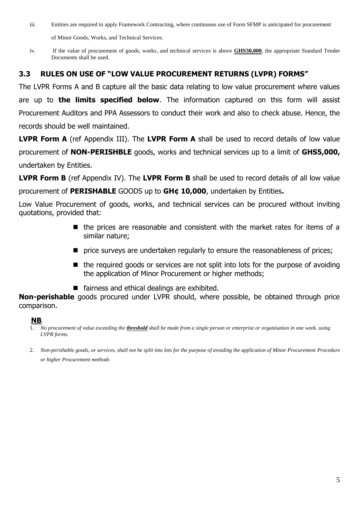iii. Entities are required to apply Framework Contracting, where continuous use of Form SFMP is anticipated for procurement

of Minor Goods, Works, and Technical Services.

iv. If the value of procurement of goods, works, and technical services is above **GHS30,000**, the appropriate Standard Tender Documents shall be used.

### **3.3 RULES ON USE OF "LOW VALUE PROCUREMENT RETURNS (LVPR) FORMS"**

The LVPR Forms A and B capture all the basic data relating to low value procurement where values are up to **the limits specified below**. The information captured on this form will assist Procurement Auditors and PPA Assessors to conduct their work and also to check abuse. Hence, the records should be well maintained.

**LVPR Form A** (ref Appendix III). The **LVPR Form A** shall be used to record details of low value procurement of **NON-PERISHBLE** goods, works and technical services up to a limit of **GHS5,000,** undertaken by Entities.

**LVPR Form B** (ref Appendix IV). The **LVPR Form B** shall be used to record details of all low value procurement of **PERISHABLE** GOODS up to **GH¢ 10,000**, undertaken by Entities**.** 

Low Value Procurement of goods, works, and technical services can be procured without inviting quotations, provided that:

- the prices are reasonable and consistent with the market rates for items of a similar nature;
- price surveys are undertaken regularly to ensure the reasonableness of prices;
- the required goods or services are not split into lots for the purpose of avoiding the application of Minor Procurement or higher methods;
- fairness and ethical dealings are exhibited.

**Non-perishable** goods procured under LVPR should, where possible, be obtained through price comparison.

### **NB**.

- 1. *No procurement of value exceeding the threshold shall be made from a single person or enterprise or organisation in one week. using LVPR forms.*
- 2. *Non-perishable goods, or services, shall not be split into lots for the purpose of avoiding the application of Minor Procurement Procedure or higher Procurement methods*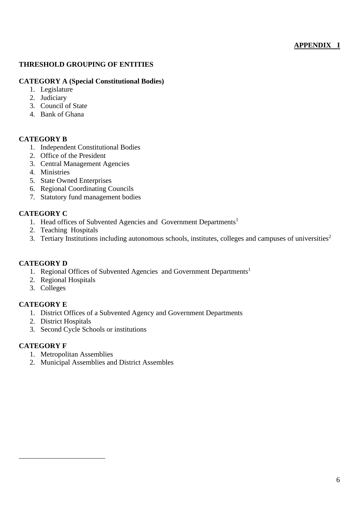### **APPENDIX I**

### **THRESHOLD GROUPING OF ENTITIES**

### **CATEGORY A (Special Constitutional Bodies)**

- 1. Legislature
- 2. Judiciary
- 3. Council of State
- 4. Bank of Ghana

### **CATEGORY B**

- 1. Independent Constitutional Bodies
- 2. Office of the President
- 3. Central Management Agencies
- 4. Ministries
- 5. State Owned Enterprises
- 6. Regional Coordinating Councils
- 7. Statutory fund management bodies

### **CATEGORY C**

- 1. Head offices of Subvented Agencies and Government Departments<sup>1</sup>
- 2. Teaching Hospitals
- 3. Tertiary Institutions including autonomous schools, institutes, colleges and campuses of universities<sup>2</sup>

### **CATEGORY D**

- 1. Regional Offices of Subvented Agencies and Government Departments<sup>1</sup>
- 2. Regional Hospitals
- 3. Colleges

### **CATEGORY E**

- 1. District Offices of a Subvented Agency and Government Departments
- 2. District Hospitals
- 3. Second Cycle Schools or institutions

### **CATEGORY F**

- 1. Metropolitan Assemblies
- 2. Municipal Assemblies and District Assembles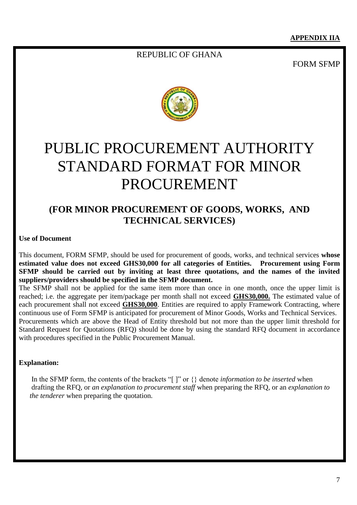### REPUBLIC OF GHANA

FORM SFMP



# PUBLIC PROCUREMENT AUTHORITY STANDARD FORMAT FOR MINOR PROCUREMENT

### **(FOR MINOR PROCUREMENT OF GOODS, WORKS, AND TECHNICAL SERVICES)**

### **Use of Document**

This document, FORM SFMP, should be used for procurement of goods, works, and technical services **whose estimated value does not exceed GHS30,000 for all categories of Entities. Procurement using Form SFMP should be carried out by inviting at least three quotations, and the names of the invited suppliers/providers should be specified in the SFMP document.**

The SFMP shall not be applied for the same item more than once in one month, once the upper limit is reached; i.e. the aggregate per item/package per month shall not exceed **GHS30,000.** The estimated value of each procurement shall not exceed **GHS30,000**. Entities are required to apply Framework Contracting, where continuous use of Form SFMP is anticipated for procurement of Minor Goods, Works and Technical Services. Procurements which are above the Head of Entity threshold but not more than the upper limit threshold for Standard Request for Quotations (RFQ) should be done by using the standard RFQ document in accordance with procedures specified in the Public Procurement Manual.

### **Explanation:**

 In the SFMP form, the contents of the brackets "[ ]" or {} denote *information to be inserted* when drafting the RFQ, or *an explanation to procurement staff* when preparing the RFQ, or an *explanation to the tenderer* when preparing the quotation.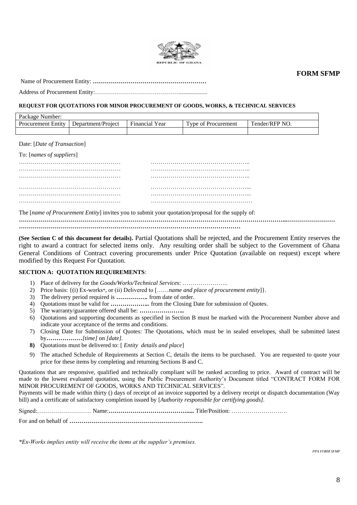

**FORM SFMP**

Name of Procurement Entity: **…………………………………………………**

Address of Procurement Entity:……………………………………...................

#### **REQUEST FOR QUOTATIONS FOR MINOR PROCUREMENT OF GOODS, WORKS, & TECHNICAL SERVICES**

| Package<br>Number:        |                    |                                      |                    |                |
|---------------------------|--------------------|--------------------------------------|--------------------|----------------|
| <b>Procurement Entity</b> | Department/Project | $\mathbf{r}$<br>Year<br>$E$ Inancial | Vne of Procurement | Tender/RFP NO. |
|                           |                    |                                      |                    |                |

Date: [*Date of Transaction*]

| To: [names of suppliers] |  |
|--------------------------|--|
|                          |  |
|                          |  |
|                          |  |
|                          |  |
|                          |  |
|                          |  |
|                          |  |

The [*name of Procurement Entity*] invites you to submit your quotation/proposal for the supply of:

**……………………………………………………………………………………………………………………...……………………**

**…………………………………………………………………………………………………**

**(See Section C of this document for details).** Partial Quotations shall be rejected, and the Procurement Entity reserves the right to award a contract for selected items only. Any resulting order shall be subject to the Government of Ghana General Conditions of Contract covering procurements under Price Quotation (available on request) except where modified by this Request For Quotation.

#### **SECTION A: QUOTATION REQUIREMENTS**:

- 1) Place of delivery for the *Goods/Works/Technical Services*: …………………..
- 2) Price basis: {(i) Ex-works\*, or (ii) Delivered to [……*name and place of procurement entity*]}.
- 3) The delivery period required is *…………….* from date of order.
- 4) Quotations must be valid for *………………..* from the Closing Date for submission of Quotes.
- 5) The warranty/guarantee offered shall be: *…………………..*
- 6) Quotations and supporting documents as specified in Section B must be marked with the Procurement Number above and indicate your acceptance of the terms and conditions.
- 7) Closing Date for Submission of Quotes: The Quotations, which must be in sealed envelopes, shall be submitted latest by*………………[time]* on *[date].*
- **8)** Quotations must be delivered to: [ *Entity details and place*]
- 9) The attached Schedule of Requirements at Section C, details the items to be purchased. You are requested to quote your price for these items by completing and returning Sections B and C.

Quotations that are responsive, qualified and technically compliant will be ranked according to price. Award of contract will be made to the lowest evaluated quotation, using the Public Procurement Authority's Document titled "CONTRACT FORM FOR MINOR PROCUREMENT OF GOODS, WORKS AND TECHNICAL SERVICES".

Payments will be made within thirty () days of receipt of an invoice supported by a delivery receipt or dispatch documentation (Way bill) and a certificate of satisfactory completion issued by [*Authority responsible for certifying goods].*

Signed:……………………… Name:**………………………………….....** Title/Position: ……………………….

For and on behalf of **………………………………………………………….**

*\*Ex-Works implies entity will receive the items at the supplier's premises.*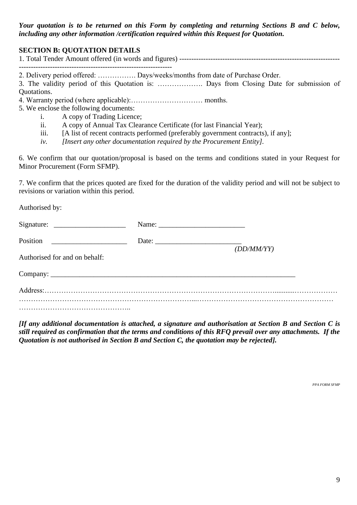*Your quotation is to be returned on this Form by completing and returning Sections B and C below, including any other information /certification required within this Request for Quotation.*

### **SECTION B: QUOTATION DETAILS**

2. Delivery period offered: ……………. Days/weeks/months from date of Purchase Order.

3. The validity period of this Quotation is: ………………. Days from Closing Date for submission of Quotations.

- 4. Warranty period (where applicable):………………………… months.
- 5. We enclose the following documents:
	- i. A copy of Trading Licence;
	- ii. A copy of Annual Tax Clearance Certificate (for last Financial Year);
	- iii. [A list of recent contracts performed (preferably government contracts), if any];
	- *iv. [Insert any other documentation required by the Procurement Entity].*

6. We confirm that our quotation/proposal is based on the terms and conditions stated in your Request for Minor Procurement (Form SFMP).

7. We confirm that the prices quoted are fixed for the duration of the validity period and will not be subject to revisions or variation within this period.

Authorised by:

|                                                                                                                                    | Name: $\frac{1}{\sqrt{1-\frac{1}{2}} \cdot \frac{1}{2}}$ |            |
|------------------------------------------------------------------------------------------------------------------------------------|----------------------------------------------------------|------------|
| Position<br><u> 1980 - Jan Stein Jan Stein Stein Stein Stein Stein Stein Stein Stein Stein Stein Stein Stein Stein Stein Stein</u> |                                                          | (DD/MM/YY) |
| Authorised for and on behalf:                                                                                                      |                                                          |            |
|                                                                                                                                    |                                                          |            |
|                                                                                                                                    |                                                          |            |
|                                                                                                                                    |                                                          |            |

*[If any additional documentation is attached, a signature and authorisation at Section B and Section C is still required as confirmation that the terms and conditions of this RFQ prevail over any attachments. If the Quotation is not authorised in Section B and Section C, the quotation may be rejected].*

*PPA FORM SFMP*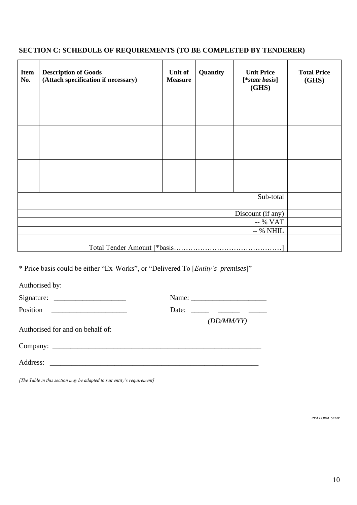### **SECTION C: SCHEDULE OF REQUIREMENTS (TO BE COMPLETED BY TENDERER)**

| <b>Item</b><br>No. | <b>Description of Goods</b><br>(Attach specification if necessary) | Unit of<br><b>Measure</b> | Quantity<br><b>Unit Price</b><br>[*state basis]<br>(GHS) |  | <b>Total Price</b><br>(GHS) |
|--------------------|--------------------------------------------------------------------|---------------------------|----------------------------------------------------------|--|-----------------------------|
|                    |                                                                    |                           |                                                          |  |                             |
|                    |                                                                    |                           |                                                          |  |                             |
|                    |                                                                    |                           |                                                          |  |                             |
|                    |                                                                    |                           |                                                          |  |                             |
|                    |                                                                    |                           |                                                          |  |                             |
|                    |                                                                    |                           |                                                          |  |                             |
|                    |                                                                    |                           |                                                          |  |                             |
|                    |                                                                    |                           |                                                          |  |                             |
|                    |                                                                    |                           |                                                          |  |                             |
|                    | -- % NHIL                                                          |                           |                                                          |  |                             |
|                    |                                                                    |                           |                                                          |  |                             |

\* Price basis could be either "Ex-Works", or "Delivered To [*Entity's premises*]"

Authorised by:

Signature: \_\_\_\_\_\_\_\_\_\_\_\_\_\_\_\_\_\_\_\_ Name: \_\_\_\_\_\_\_\_\_\_\_\_\_\_\_\_\_\_\_\_\_ Position \_\_\_\_\_\_\_\_\_\_\_\_\_\_\_\_\_\_\_\_\_ Date: \_\_\_\_\_ \_\_\_\_\_\_ \_\_\_\_\_ *(DD/MM/YY)* Authorised for and on behalf of: Company:

Address: \_\_\_\_\_\_\_\_\_\_\_\_\_\_\_\_\_\_\_\_\_\_\_\_\_\_\_\_\_\_\_\_\_\_\_\_\_\_\_\_\_\_\_\_\_\_\_\_\_\_\_\_\_\_\_\_\_\_

*[The Table in this section may be adapted to suit entity's requirement]*

*PPA FORM SFMP*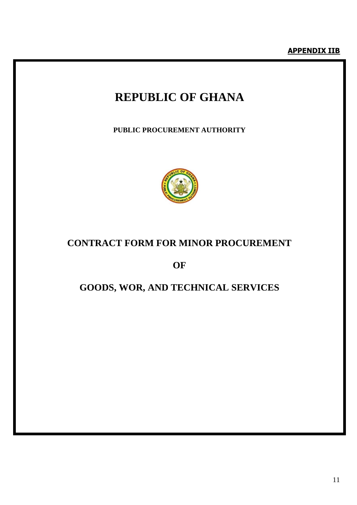## **REPUBLIC OF GHANA**

**PUBLIC PROCUREMENT AUTHORITY**



### **CONTRACT FORM FOR MINOR PROCUREMENT**

**OF** 

### **GOODS, WOR, AND TECHNICAL SERVICES**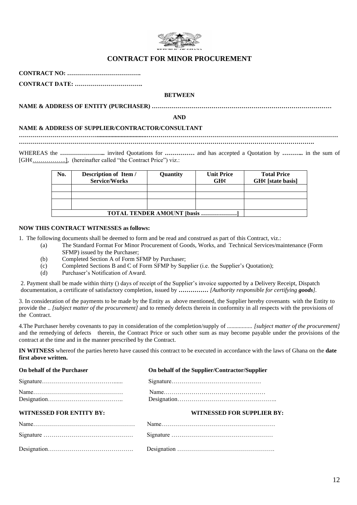

### **CONTRACT FOR MINOR PROCUREMENT**

**CONTRACT NO: ……………………………….**

**CONTRACT DATE: …………………………….** 

#### **BETWEEN**

**NAME & ADDRESS OF ENTITY (PURCHASER) ………………………………………………………………………………**

**AND**

#### **NAME & ADDRESS OF SUPPLIER/CONTRACTOR/CONSULTANT**

*………………………………***….................................……………………………………………………………………………………**

**………………………………………………………………………………………………………………………………….**

WHEREAS the *…………………* invited Quotations for *……………* and has accepted a Quotation by ………… in the sum of [GH¢……………], (hereinafter called "the Contract Price") viz.:

| No. | Description of Item /<br><b>Service/Works</b> | Quantity | <b>Unit Price</b><br>GH¢ | <b>Total Price</b><br>$GH¢$ [state basis] |
|-----|-----------------------------------------------|----------|--------------------------|-------------------------------------------|
|     |                                               |          |                          |                                           |
|     |                                               |          |                          |                                           |
|     |                                               |          |                          |                                           |
|     | <b>TOTAL TENDER AMOUNT [basis ]</b>           |          |                          |                                           |

#### **NOW THIS CONTRACT WITNESSES as follows:**

1. The following documents shall be deemed to form and be read and construed as part of this Contract, viz.:

- (a) The Standard Format For Minor Procurement of Goods, Works, and Technical Services/maintenance (Form SFMP) issued by the Purchaser;
- (b) Completed Section A of Form SFMP by Purchaser;
- (c) Completed Sections B and C of Form SFMP by Supplier (i.e. the Supplier's Quotation);
- (d) Purchaser's Notification of Award.

2. Payment shall be made within thirty () days of receipt of the Supplier's invoice supported by a Delivery Receipt, Dispatch documentation, a certificate of satisfactory completion, issued by *…………… [Authority responsible for certifying goods].*

3. In consideration of the payments to be made by the Entity as above mentioned, the Supplier hereby covenants with the Entity to provide the .. *[subject matter of the procurement]* and to remedy defects therein in conformity in all respects with the provisions of the Contract.

4.The Purchaser hereby covenants to pay in consideration of the completion/supply of *................. [subject matter of the procurement]* and the remedying of defects therein, the Contract Price or such other sum as may become payable under the provisions of the contract at the time and in the manner prescribed by the Contract.

**IN WITNESS** whereof the parties hereto have caused this contract to be executed in accordance with the laws of Ghana on the **date first above written.**

| On behalf of the Purchaser      | On behalf of the Supplier/Contractor/Supplier |
|---------------------------------|-----------------------------------------------|
|                                 |                                               |
|                                 |                                               |
| <b>WITNESSED FOR ENTITY BY:</b> | WITNESSED FOR SUPPLIER BY:                    |
|                                 |                                               |
|                                 |                                               |
|                                 |                                               |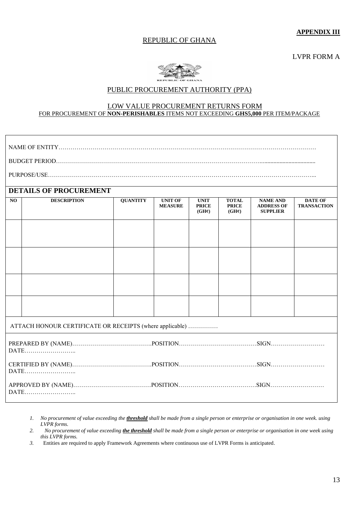### REPUBLIC OF GHANA

**APPENDIX III**

LVPR FORM A



### PUBLIC PROCUREMENT AUTHORITY (PPA)

#### LOW VALUE PROCUREMENT RETURNS FORM FOR PROCUREMENT OF **NON-PERISHABLES** ITEMS NOT EXCEEDING **GHS5,000** PER ITEM/PACKAGE

|                | <b>DETAILS OF PROCUREMENT</b>                            |                 |                                  |                                                   |                                                    |                                                         |                                      |  |
|----------------|----------------------------------------------------------|-----------------|----------------------------------|---------------------------------------------------|----------------------------------------------------|---------------------------------------------------------|--------------------------------------|--|
| N <sub>O</sub> | <b>DESCRIPTION</b>                                       | <b>QUANTITY</b> | <b>UNIT OF</b><br><b>MEASURE</b> | <b>UNIT</b><br><b>PRICE</b><br>$(GH\mathfrak{e})$ | <b>TOTAL</b><br><b>PRICE</b><br>$(GH\mathfrak{e})$ | <b>NAME AND</b><br><b>ADDRESS OF</b><br><b>SUPPLIER</b> | <b>DATE OF</b><br><b>TRANSACTION</b> |  |
|                |                                                          |                 |                                  |                                                   |                                                    |                                                         |                                      |  |
|                |                                                          |                 |                                  |                                                   |                                                    |                                                         |                                      |  |
|                |                                                          |                 |                                  |                                                   |                                                    |                                                         |                                      |  |
|                |                                                          |                 |                                  |                                                   |                                                    |                                                         |                                      |  |
|                | ATTACH HONOUR CERTIFICATE OR RECEIPTS (where applicable) |                 |                                  |                                                   |                                                    |                                                         |                                      |  |
|                | DATE                                                     |                 |                                  |                                                   |                                                    |                                                         |                                      |  |
|                | DATE                                                     |                 |                                  |                                                   |                                                    |                                                         |                                      |  |
|                | DATE                                                     |                 |                                  |                                                   |                                                    |                                                         |                                      |  |

*1. No procurement of value exceeding the threshold shall be made from a single person or enterprise or organisation in one week. using LVPR forms.* 

*2. No procurement of value exceeding the threshold shall be made from a single person or enterprise or organisation in one week using this LVPR forms.* 

*3.* Entities are required to apply Framework Agreements where continuous use of LVPR Forms is anticipated.